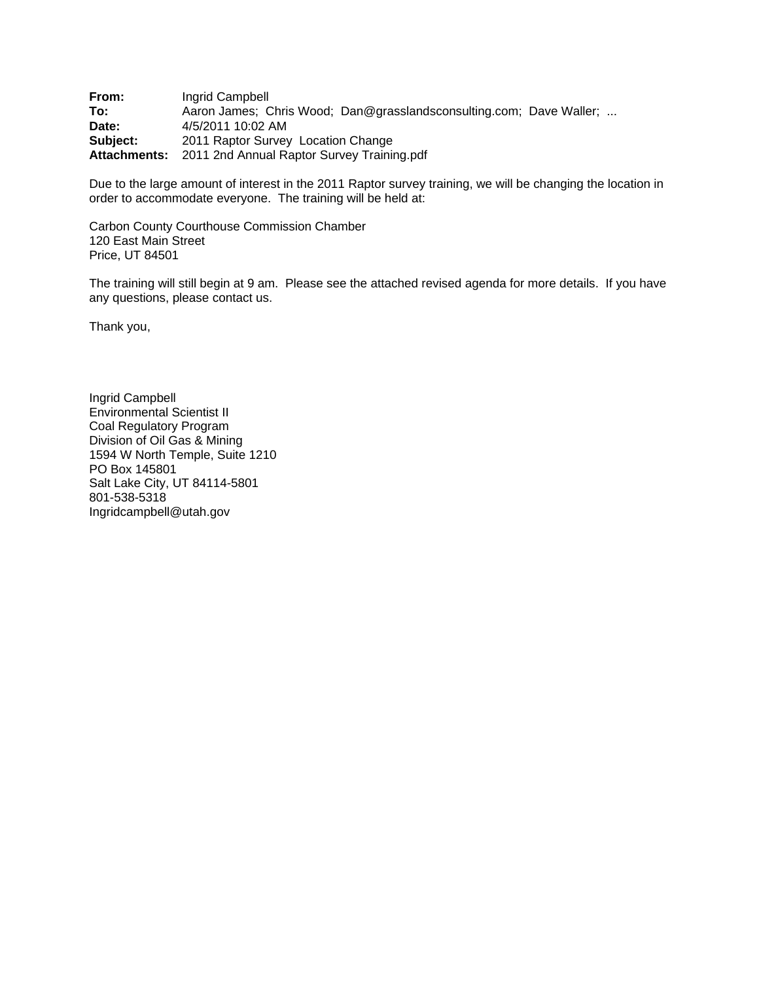**From:** Ingrid Campbell **To:** Aaron James; Chris Wood; Dan@grasslandsconsulting.com; Dave Waller; ... **Date:** 4/5/2011 10:02 AM **Date:** 4/5/2011 10:02 AM **Subject:** 2011 Raptor Survey Location Change **Attachments:** 2011 2nd Annual Raptor Survey Training.pdf

Due to the large amount of interest in the 2011 Raptor survey training, we will be changing the location in order to accommodate everyone. The training will be held at:

Carbon County Courthouse Commission Chamber 120 East Main Street Price, UT 84501

The training will still begin at 9 am. Please see the attached revised agenda for more details. If you have any questions, please contact us.

Thank you,

Ingrid Campbell Environmental Scientist II Coal Regulatory Program Division of Oil Gas & Mining 1594 W North Temple, Suite 1210 PO Box 145801 Salt Lake City, UT 84114-5801 801-538-5318 Ingridcampbell@utah.gov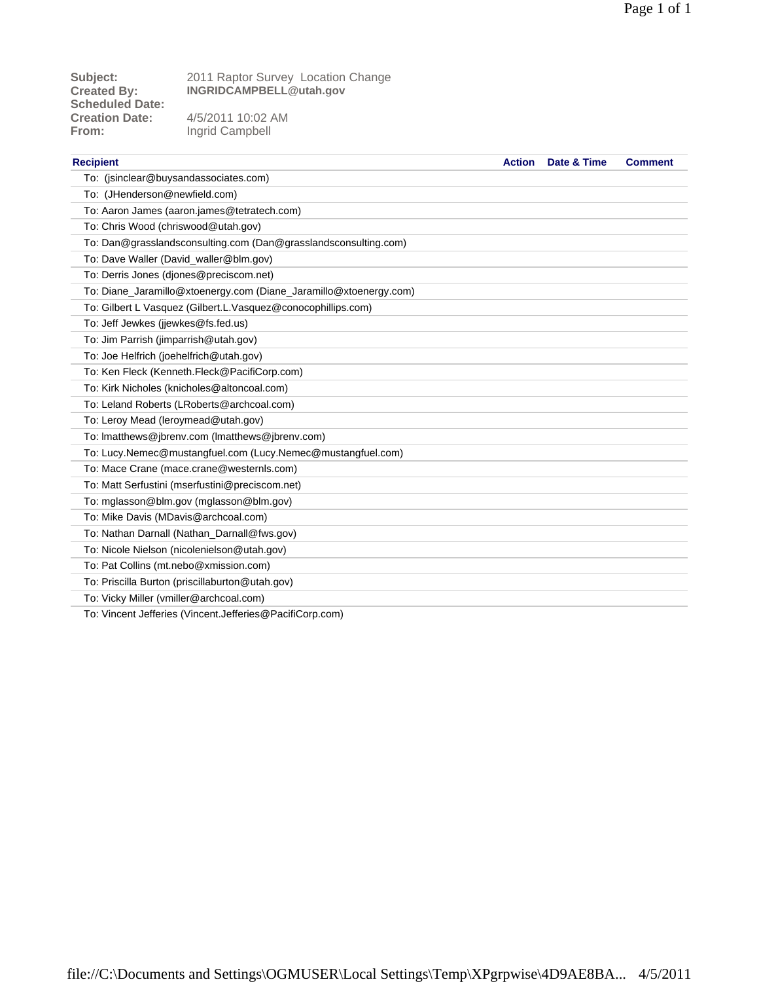**Scheduled Date:** From: Ingrid Campbell

**Subject:** 2011 Raptor Survey Location Change **Created By: INGRIDCAMPBELL@utah.gov**

**Creation Date:** 4/5/2011 10:02 AM

| <b>Recipient</b>                                                                                                       | <b>Action</b> | Date & Time | <b>Comment</b> |
|------------------------------------------------------------------------------------------------------------------------|---------------|-------------|----------------|
| To: (jsinclear@buysandassociates.com)                                                                                  |               |             |                |
| To: (JHenderson@newfield.com)                                                                                          |               |             |                |
| To: Aaron James (aaron.james@tetratech.com)                                                                            |               |             |                |
| To: Chris Wood (chriswood@utah.gov)                                                                                    |               |             |                |
| To: Dan@grasslandsconsulting.com (Dan@grasslandsconsulting.com)                                                        |               |             |                |
| To: Dave Waller (David_waller@blm.gov)                                                                                 |               |             |                |
| To: Derris Jones (djones@preciscom.net)                                                                                |               |             |                |
| To: Diane_Jaramillo@xtoenergy.com (Diane_Jaramillo@xtoenergy.com)                                                      |               |             |                |
| To: Gilbert L Vasquez (Gilbert.L.Vasquez@conocophillips.com)                                                           |               |             |                |
| To: Jeff Jewkes (jjewkes@fs.fed.us)                                                                                    |               |             |                |
| To: Jim Parrish (jimparrish@utah.gov)                                                                                  |               |             |                |
| To: Joe Helfrich (joehelfrich@utah.gov)                                                                                |               |             |                |
| To: Ken Fleck (Kenneth.Fleck@PacifiCorp.com)                                                                           |               |             |                |
| To: Kirk Nicholes (knicholes@altoncoal.com)                                                                            |               |             |                |
| To: Leland Roberts (LRoberts@archcoal.com)                                                                             |               |             |                |
| To: Leroy Mead (leroymead@utah.gov)                                                                                    |               |             |                |
| To: Imatthews@jbrenv.com (Imatthews@jbrenv.com)                                                                        |               |             |                |
| To: Lucy.Nemec@mustangfuel.com (Lucy.Nemec@mustangfuel.com)                                                            |               |             |                |
| To: Mace Crane (mace.crane@westernls.com)                                                                              |               |             |                |
| To: Matt Serfustini (mserfustini@preciscom.net)                                                                        |               |             |                |
| To: mglasson@blm.gov (mglasson@blm.gov)                                                                                |               |             |                |
| To: Mike Davis (MDavis@archcoal.com)                                                                                   |               |             |                |
| To: Nathan Darnall (Nathan_Darnall@fws.gov)                                                                            |               |             |                |
| To: Nicole Nielson (nicolenielson@utah.gov)                                                                            |               |             |                |
| To: Pat Collins (mt.nebo@xmission.com)                                                                                 |               |             |                |
| To: Priscilla Burton (priscillaburton@utah.gov)                                                                        |               |             |                |
| To: Vicky Miller (vmiller@archcoal.com)                                                                                |               |             |                |
| $\mathbf{u}$ . In the set of $\mathbf{u}$ the set of $\mathbf{u}$ . It is set of $\mathbf{u}$ is a set of $\mathbf{u}$ |               |             |                |

To: Vincent Jefferies (Vincent.Jefferies@PacifiCorp.com)